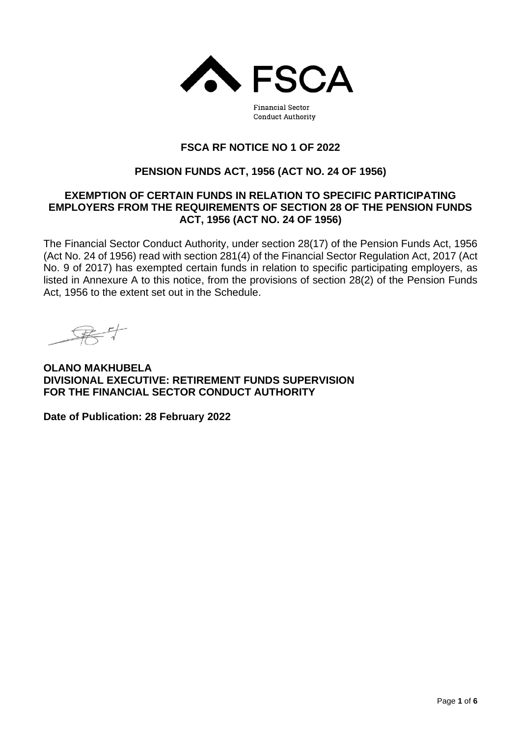

**Financial Sector Conduct Authority** 

# **FSCA RF NOTICE NO 1 OF 2022**

# **PENSION FUNDS ACT, 1956 (ACT NO. 24 OF 1956)**

#### **EXEMPTION OF CERTAIN FUNDS IN RELATION TO SPECIFIC PARTICIPATING EMPLOYERS FROM THE REQUIREMENTS OF SECTION 28 OF THE PENSION FUNDS ACT, 1956 (ACT NO. 24 OF 1956)**

The Financial Sector Conduct Authority, under section 28(17) of the Pension Funds Act, 1956 (Act No. 24 of 1956) read with section 281(4) of the Financial Sector Regulation Act, 2017 (Act No. 9 of 2017) has exempted certain funds in relation to specific participating employers, as listed in Annexure A to this notice, from the provisions of section 28(2) of the Pension Funds Act, 1956 to the extent set out in the Schedule.

**OLANO MAKHUBELA DIVISIONAL EXECUTIVE: RETIREMENT FUNDS SUPERVISION FOR THE FINANCIAL SECTOR CONDUCT AUTHORITY**

**Date of Publication: 28 February 2022**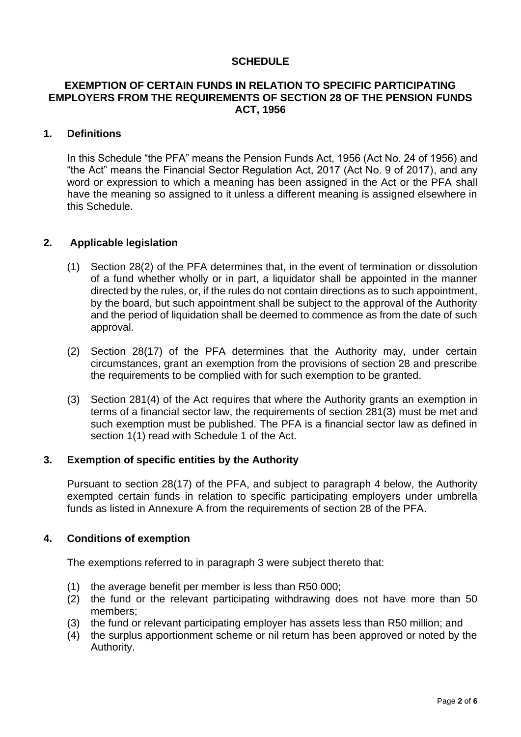## **SCHEDULE**

## **EXEMPTION OF CERTAIN FUNDS IN RELATION TO SPECIFIC PARTICIPATING EMPLOYERS FROM THE REQUIREMENTS OF SECTION 28 OF THE PENSION FUNDS ACT, 1956**

#### **1. Definitions**

In this Schedule "the PFA" means the Pension Funds Act, 1956 (Act No. 24 of 1956) and "the Act" means the Financial Sector Regulation Act, 2017 (Act No. 9 of 2017), and any word or expression to which a meaning has been assigned in the Act or the PFA shall have the meaning so assigned to it unless a different meaning is assigned elsewhere in this Schedule.

#### **2. Applicable legislation**

- (1) Section 28(2) of the PFA determines that, in the event of termination or dissolution of a fund whether wholly or in part, a liquidator shall be appointed in the manner directed by the rules, or, if the rules do not contain directions as to such appointment, by the board, but such appointment shall be subject to the approval of the Authority and the period of liquidation shall be deemed to commence as from the date of such approval.
- (2) Section 28(17) of the PFA determines that the Authority may, under certain circumstances, grant an exemption from the provisions of section 28 and prescribe the requirements to be complied with for such exemption to be granted.
- (3) Section 281(4) of the Act requires that where the Authority grants an exemption in terms of a financial sector law, the requirements of section 281(3) must be met and such exemption must be published. The PFA is a financial sector law as defined in section 1(1) read with Schedule 1 of the Act.

## **3. Exemption of specific entities by the Authority**

Pursuant to section 28(17) of the PFA, and subject to paragraph 4 below, the Authority exempted certain funds in relation to specific participating employers under umbrella funds as listed in Annexure A from the requirements of section 28 of the PFA.

## **4. Conditions of exemption**

The exemptions referred to in paragraph 3 were subject thereto that:

- (1) the average benefit per member is less than R50 000;
- (2) the fund or the relevant participating withdrawing does not have more than 50 members;
- (3) the fund or relevant participating employer has assets less than R50 million; and
- (4) the surplus apportionment scheme or nil return has been approved or noted by the Authority.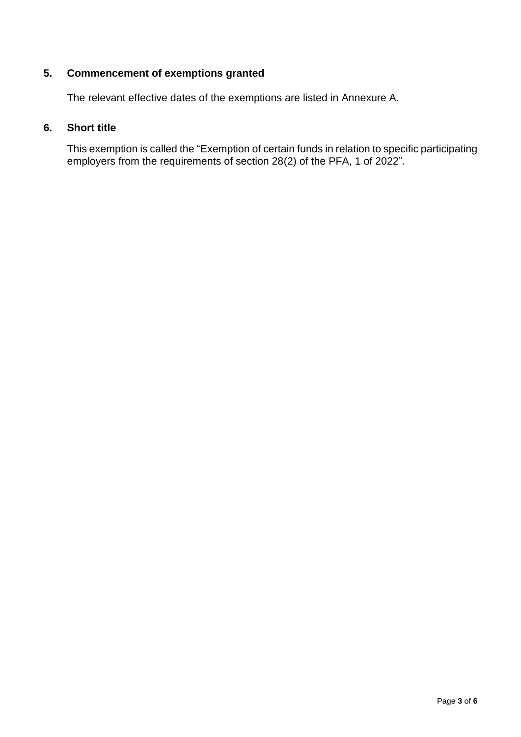# **5. Commencement of exemptions granted**

The relevant effective dates of the exemptions are listed in Annexure A.

# **6. Short title**

This exemption is called the "Exemption of certain funds in relation to specific participating employers from the requirements of section 28(2) of the PFA, 1 of 2022".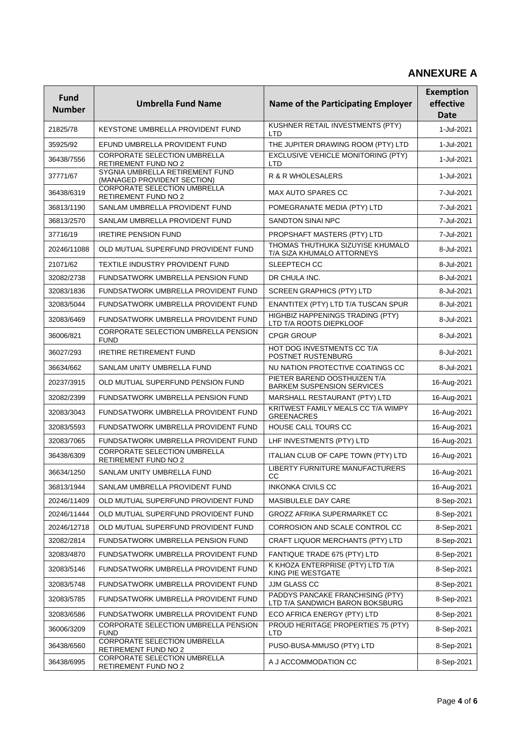# **ANNEXURE A**

| <b>Fund</b><br><b>Number</b> | <b>Umbrella Fund Name</b>                                      | <b>Name of the Participating Employer</b>                           | <b>Exemption</b><br>effective<br><b>Date</b> |
|------------------------------|----------------------------------------------------------------|---------------------------------------------------------------------|----------------------------------------------|
| 21825/78                     | KEYSTONE UMBRELLA PROVIDENT FUND                               | KUSHNER RETAIL INVESTMENTS (PTY)<br><b>LTD</b>                      | 1-Jul-2021                                   |
| 35925/92                     | EFUND UMBRELLA PROVIDENT FUND                                  | THE JUPITER DRAWING ROOM (PTY) LTD                                  | 1-Jul-2021                                   |
| 36438/7556                   | <b>CORPORATE SELECTION UMBRELLA</b><br>RETIREMENT FUND NO 2    | <b>EXCLUSIVE VEHICLE MONITORING (PTY)</b><br><b>LTD</b>             | 1-Jul-2021                                   |
| 37771/67                     | SYGNIA UMBRELLA RETIREMENT FUND<br>(MANAGED PROVIDENT SECTION) | R & R WHOLESALERS                                                   | 1-Jul-2021                                   |
| 36438/6319                   | <b>CORPORATE SELECTION UMBRELLA</b><br>RETIREMENT FUND NO 2    | MAX AUTO SPARES CC                                                  | 7-Jul-2021                                   |
| 36813/1190                   | SANLAM UMBRELLA PROVIDENT FUND                                 | POMEGRANATE MEDIA (PTY) LTD                                         | 7-Jul-2021                                   |
| 36813/2570                   | SANLAM UMBRELLA PROVIDENT FUND                                 | <b>SANDTON SINAI NPC</b>                                            | 7-Jul-2021                                   |
| 37716/19                     | <b>IRETIRE PENSION FUND</b>                                    | PROPSHAFT MASTERS (PTY) LTD                                         | 7-Jul-2021                                   |
| 20246/11088                  | OLD MUTUAL SUPERFUND PROVIDENT FUND                            | THOMAS THUTHUKA SIZUYISE KHUMALO<br>T/A SIZA KHUMALO ATTORNEYS      | 8-Jul-2021                                   |
| 21071/62                     | TEXTILE INDUSTRY PROVIDENT FUND                                | <b>SLEEPTECH CC</b>                                                 | 8-Jul-2021                                   |
| 32082/2738                   | <b>FUNDSATWORK UMBRELLA PENSION FUND</b>                       | DR CHULA INC.                                                       | 8-Jul-2021                                   |
| 32083/1836                   | FUNDSATWORK UMBRELLA PROVIDENT FUND                            | <b>SCREEN GRAPHICS (PTY) LTD</b>                                    | 8-Jul-2021                                   |
| 32083/5044                   | FUNDSATWORK UMBRELLA PROVIDENT FUND                            | ENANTITEX (PTY) LTD T/A TUSCAN SPUR                                 | 8-Jul-2021                                   |
| 32083/6469                   | FUNDSATWORK UMBRELLA PROVIDENT FUND                            | HIGHBIZ HAPPENINGS TRADING (PTY)<br>LTD T/A ROOTS DIEPKLOOF         | 8-Jul-2021                                   |
| 36006/821                    | CORPORATE SELECTION UMBRELLA PENSION<br><b>FUND</b>            | <b>CPGR GROUP</b>                                                   | 8-Jul-2021                                   |
| 36027/293                    | <b>IRETIRE RETIREMENT FUND</b>                                 | HOT DOG INVESTMENTS CC T/A<br>POSTNET RUSTENBURG                    | 8-Jul-2021                                   |
| 36634/662                    | SANLAM UNITY UMBRELLA FUND                                     | NU NATION PROTECTIVE COATINGS CC                                    | 8-Jul-2021                                   |
| 20237/3915                   | OLD MUTUAL SUPERFUND PENSION FUND                              | PIETER BAREND OOSTHUIZEN T/A<br><b>BARKEM SUSPENSION SERVICES</b>   | 16-Aug-2021                                  |
| 32082/2399                   | FUNDSATWORK UMBRELLA PENSION FUND                              | MARSHALL RESTAURANT (PTY) LTD                                       | 16-Aug-2021                                  |
| 32083/3043                   | FUNDSATWORK UMBRELLA PROVIDENT FUND                            | KRITWEST FAMILY MEALS CC T/A WIMPY<br><b>GREENACRES</b>             | 16-Aug-2021                                  |
| 32083/5593                   | FUNDSATWORK UMBRELLA PROVIDENT FUND                            | HOUSE CALL TOURS CC                                                 | 16-Aug-2021                                  |
| 32083/7065                   | FUNDSATWORK UMBRELLA PROVIDENT FUND                            | LHF INVESTMENTS (PTY) LTD                                           | 16-Aug-2021                                  |
| 36438/6309                   | <b>CORPORATE SELECTION UMBRELLA</b><br>RETIREMENT FUND NO 2    | ITALIAN CLUB OF CAPE TOWN (PTY) LTD                                 | 16-Aug-2021                                  |
| 36634/1250                   | SANLAM UNITY UMBRELLA FUND                                     | LIBERTY FURNITURE MANUFACTURERS<br>CC                               | 16-Aug-2021                                  |
| 36813/1944                   | SANLAM UMBRELLA PROVIDENT FUND                                 | <b>INKONKA CIVILS CC</b>                                            | 16-Aug-2021                                  |
| 20246/11409                  | OLD MUTUAL SUPERFUND PROVIDENT FUND                            | MASIBULELE DAY CARE                                                 | 8-Sep-2021                                   |
| 20246/11444                  | OLD MUTUAL SUPERFUND PROVIDENT FUND                            | GROZZ AFRIKA SUPERMARKET CC                                         | 8-Sep-2021                                   |
| 20246/12718                  | OLD MUTUAL SUPERFUND PROVIDENT FUND                            | CORROSION AND SCALE CONTROL CC                                      | 8-Sep-2021                                   |
| 32082/2814                   | FUNDSATWORK UMBRELLA PENSION FUND                              | CRAFT LIQUOR MERCHANTS (PTY) LTD                                    | 8-Sep-2021                                   |
| 32083/4870                   | FUNDSATWORK UMBRELLA PROVIDENT FUND                            | FANTIQUE TRADE 675 (PTY) LTD                                        | 8-Sep-2021                                   |
| 32083/5146                   | FUNDSATWORK UMBRELLA PROVIDENT FUND                            | K KHOZA ENTERPRISE (PTY) LTD T/A<br>KING PIE WESTGATE               | 8-Sep-2021                                   |
| 32083/5748                   | FUNDSATWORK UMBRELLA PROVIDENT FUND                            | JJM GLASS CC                                                        | 8-Sep-2021                                   |
| 32083/5785                   | FUNDSATWORK UMBRELLA PROVIDENT FUND                            | PADDYS PANCAKE FRANCHISING (PTY)<br>LTD T/A SANDWICH BARON BOKSBURG | 8-Sep-2021                                   |
| 32083/6586                   | FUNDSATWORK UMBRELLA PROVIDENT FUND                            | ECO AFRICA ENERGY (PTY) LTD                                         | 8-Sep-2021                                   |
| 36006/3209                   | CORPORATE SELECTION UMBRELLA PENSION<br><b>FUND</b>            | PROUD HERITAGE PROPERTIES 75 (PTY)<br><b>LTD</b>                    | 8-Sep-2021                                   |
| 36438/6560                   | CORPORATE SELECTION UMBRELLA<br>RETIREMENT FUND NO 2           | PUSO-BUSA-MMUSO (PTY) LTD                                           | 8-Sep-2021                                   |
| 36438/6995                   | CORPORATE SELECTION UMBRELLA<br>RETIREMENT FUND NO 2           | A J ACCOMMODATION CC                                                | 8-Sep-2021                                   |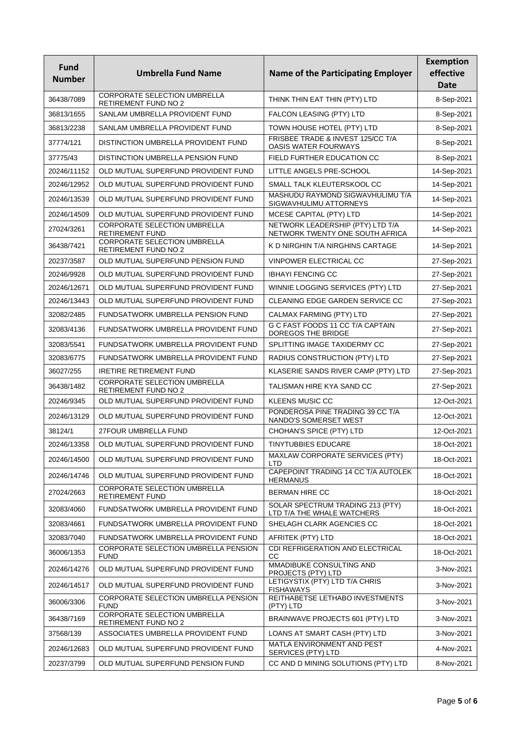| <b>Fund</b>   |                                                             |                                                                     | <b>Exemption</b>         |
|---------------|-------------------------------------------------------------|---------------------------------------------------------------------|--------------------------|
| <b>Number</b> | <b>Umbrella Fund Name</b>                                   | <b>Name of the Participating Employer</b>                           | effective<br><b>Date</b> |
| 36438/7089    | CORPORATE SELECTION UMBRELLA<br><b>RETIREMENT FUND NO 2</b> | THINK THIN EAT THIN (PTY) LTD                                       | 8-Sep-2021               |
| 36813/1655    | SANLAM UMBRELLA PROVIDENT FUND                              | FALCON LEASING (PTY) LTD                                            | 8-Sep-2021               |
| 36813/2238    | SANLAM UMBRELLA PROVIDENT FUND                              | TOWN HOUSE HOTEL (PTY) LTD                                          | 8-Sep-2021               |
| 37774/121     | DISTINCTION UMBRELLA PROVIDENT FUND                         | FRISBEE TRADE & INVEST 125/CC T/A<br>OASIS WATER FOURWAYS           | 8-Sep-2021               |
| 37775/43      | DISTINCTION UMBRELLA PENSION FUND                           | FIELD FURTHER EDUCATION CC                                          | 8-Sep-2021               |
| 20246/11152   | OLD MUTUAL SUPERFUND PROVIDENT FUND                         | LITTLE ANGELS PRE-SCHOOL                                            | 14-Sep-2021              |
| 20246/12952   | OLD MUTUAL SUPERFUND PROVIDENT FUND                         | SMALL TALK KLEUTERSKOOL CC                                          | 14-Sep-2021              |
| 20246/13539   | OLD MUTUAL SUPERFUND PROVIDENT FUND                         | MASHUDU RAYMOND SIGWAVHULIMU T/A<br>SIGWAVHULIMU ATTORNEYS          | 14-Sep-2021              |
| 20246/14509   | OLD MUTUAL SUPERFUND PROVIDENT FUND                         | MCESE CAPITAL (PTY) LTD                                             | 14-Sep-2021              |
| 27024/3261    | CORPORATE SELECTION UMBRELLA<br><b>RETIREMENT FUND</b>      | NETWORK LEADERSHIP (PTY) LTD T/A<br>NETWORK TWENTY ONE SOUTH AFRICA | 14-Sep-2021              |
| 36438/7421    | CORPORATE SELECTION UMBRELLA<br>RETIREMENT FUND NO 2        | K D NIRGHIN T/A NIRGHINS CARTAGE                                    | 14-Sep-2021              |
| 20237/3587    | OLD MUTUAL SUPERFUND PENSION FUND                           | VINPOWER ELECTRICAL CC                                              | 27-Sep-2021              |
| 20246/9928    | OLD MUTUAL SUPERFUND PROVIDENT FUND                         | <b>IBHAYI FENCING CC</b>                                            | 27-Sep-2021              |
| 20246/12671   | OLD MUTUAL SUPERFUND PROVIDENT FUND                         | WINNIE LOGGING SERVICES (PTY) LTD                                   | 27-Sep-2021              |
| 20246/13443   | OLD MUTUAL SUPERFUND PROVIDENT FUND                         | CLEANING EDGE GARDEN SERVICE CC                                     | 27-Sep-2021              |
| 32082/2485    | FUNDSATWORK UMBRELLA PENSION FUND                           | CALMAX FARMING (PTY) LTD                                            | 27-Sep-2021              |
| 32083/4136    | FUNDSATWORK UMBRELLA PROVIDENT FUND                         | G C FAST FOODS 11 CC T/A CAPTAIN<br>DOREGOS THE BRIDGE              | 27-Sep-2021              |
| 32083/5541    | FUNDSATWORK UMBRELLA PROVIDENT FUND                         | SPLITTING IMAGE TAXIDERMY CC                                        | 27-Sep-2021              |
| 32083/6775    | FUNDSATWORK UMBRELLA PROVIDENT FUND                         | RADIUS CONSTRUCTION (PTY) LTD                                       | 27-Sep-2021              |
| 36027/255     | <b>IRETIRE RETIREMENT FUND</b>                              | KLASERIE SANDS RIVER CAMP (PTY) LTD                                 | 27-Sep-2021              |
| 36438/1482    | <b>CORPORATE SELECTION UMBRELLA</b><br>RETIREMENT FUND NO 2 | TALISMAN HIRE KYA SAND CC                                           | 27-Sep-2021              |
| 20246/9345    | OLD MUTUAL SUPERFUND PROVIDENT FUND                         | <b>KLEENS MUSIC CC</b>                                              | 12-Oct-2021              |
| 20246/13129   | OLD MUTUAL SUPERFUND PROVIDENT FUND                         | PONDEROSA PINE TRADING 39 CC T/A<br>NANDO'S SOMERSET WEST           | 12-Oct-2021              |
| 38124/1       | 27FOUR UMBRELLA FUND                                        | CHOHAN'S SPICE (PTY) LTD                                            | 12-Oct-2021              |
| 20246/13358   | OLD MUTUAL SUPERFUND PROVIDENT FUND                         | <b>TINYTUBBIES EDUCARE</b>                                          | 18-Oct-2021              |
| 20246/14500   | OLD MUTUAL SUPERFUND PROVIDENT FUND                         | MAXLAW CORPORATE SERVICES (PTY)<br>LTD                              | 18-Oct-2021              |
| 20246/14746   | OLD MUTUAL SUPERFUND PROVIDENT FUND                         | CAPEPOINT TRADING 14 CC T/A AUTOLEK<br><b>HERMANUS</b>              | 18-Oct-2021              |
| 27024/2663    | CORPORATE SELECTION UMBRELLA<br>RETIREMENT FUND             | <b>BERMAN HIRE CC</b>                                               | 18-Oct-2021              |
| 32083/4060    | FUNDSATWORK UMBRELLA PROVIDENT FUND                         | SOLAR SPECTRUM TRADING 213 (PTY)<br>LTD T/A THE WHALE WATCHERS      | 18-Oct-2021              |
| 32083/4661    | FUNDSATWORK UMBRELLA PROVIDENT FUND                         | SHELAGH CLARK AGENCIES CC                                           | 18-Oct-2021              |
| 32083/7040    | FUNDSATWORK UMBRELLA PROVIDENT FUND                         | AFRITEK (PTY) LTD                                                   | 18-Oct-2021              |
| 36006/1353    | CORPORATE SELECTION UMBRELLA PENSION<br><b>FUND</b>         | CDI REFRIGERATION AND ELECTRICAL<br>cc                              | 18-Oct-2021              |
| 20246/14276   | OLD MUTUAL SUPERFUND PROVIDENT FUND                         | MMADIBUKE CONSULTING AND<br>PROJECTS (PTY) LTD                      | 3-Nov-2021               |
| 20246/14517   | OLD MUTUAL SUPERFUND PROVIDENT FUND                         | LETIGYSTIX (PTY) LTD T/A CHRIS<br><b>FISHAWAYS</b>                  | 3-Nov-2021               |
| 36006/3306    | CORPORATE SELECTION UMBRELLA PENSION<br><b>FUND</b>         | REITHABETSE LETHABO INVESTMENTS<br>(PTY) LTD                        | 3-Nov-2021               |
| 36438/7169    | CORPORATE SELECTION UMBRELLA<br>RETIREMENT FUND NO 2        | BRAINWAVE PROJECTS 601 (PTY) LTD                                    | 3-Nov-2021               |
| 37568/139     | ASSOCIATES UMBRELLA PROVIDENT FUND                          | LOANS AT SMART CASH (PTY) LTD                                       | 3-Nov-2021               |
| 20246/12683   | OLD MUTUAL SUPERFUND PROVIDENT FUND                         | MATLA ENVIRONMENT AND PEST<br>SERVICES (PTY) LTD                    | 4-Nov-2021               |
| 20237/3799    | OLD MUTUAL SUPERFUND PENSION FUND                           | CC AND D MINING SOLUTIONS (PTY) LTD                                 | 8-Nov-2021               |